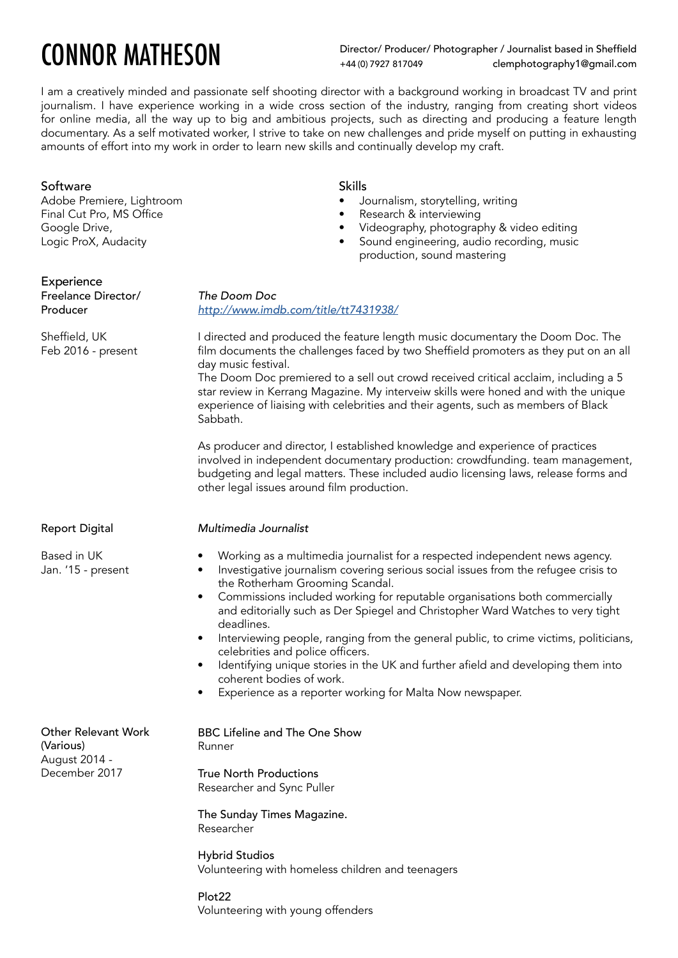# CONNOR MATHESON

Director/ Producer/ Photographer / Journalist based in Sheffield +44 (0) 7927 817049 clemphotography1@gmail.com

I am a creatively minded and passionate self shooting director with a background working in broadcast TV and print journalism. I have experience working in a wide cross section of the industry, ranging from creating short videos for online media, all the way up to big and ambitious projects, such as directing and producing a feature length documentary. As a self motivated worker, I strive to take on new challenges and pride myself on putting in exhausting amounts of effort into my work in order to learn new skills and continually develop my craft.

## Software

Adobe Premiere, Lightroom Final Cut Pro, MS Office Google Drive, Logic ProX, Audacity

## Experience

Freelance Director/ Producer

Sheffield, UK Feb 2016 - present *<http://www.imdb.com/title/tt7431938/>*

I directed and produced the feature length music documentary the Doom Doc. The film documents the challenges faced by two Sheffield promoters as they put on an all day music festival.

The Doom Doc premiered to a sell out crowd received critical acclaim, including a 5 star review in Kerrang Magazine. My interveiw skills were honed and with the unique experience of liaising with celebrities and their agents, such as members of Black Sabbath.

As producer and director, I established knowledge and experience of practices involved in independent documentary production: crowdfunding. team management, budgeting and legal matters. These included audio licensing laws, release forms and other legal issues around film production.

## *Multimedia Journalist*

*The Doom Doc* 

- Working as a multimedia journalist for a respected independent news agency.
- Investigative journalism covering serious social issues from the refugee crisis to the Rotherham Grooming Scandal.
- Commissions included working for reputable organisations both commercially and editorially such as Der Spiegel and Christopher Ward Watches to very tight deadlines.
- Interviewing people, ranging from the general public, to crime victims, politicians, celebrities and police officers.
- Identifying unique stories in the UK and further afield and developing them into coherent bodies of work.
- Experience as a reporter working for Malta Now newspaper.

Other Relevant Work (Various) August 2014 - December 2017

BBC Lifeline and The One Show Runner

True North Productions Researcher and Sync Puller

The Sunday Times Magazine. Researcher

Hybrid Studios Volunteering with homeless children and teenagers

### Plot22 Volunteering with young offenders

### Report Digital

Based in UK Jan. '15 - present Skills

- Journalism, storytelling, writing
- Research & interviewing
- Videography, photography & video editing
- Sound engineering, audio recording, music production, sound mastering